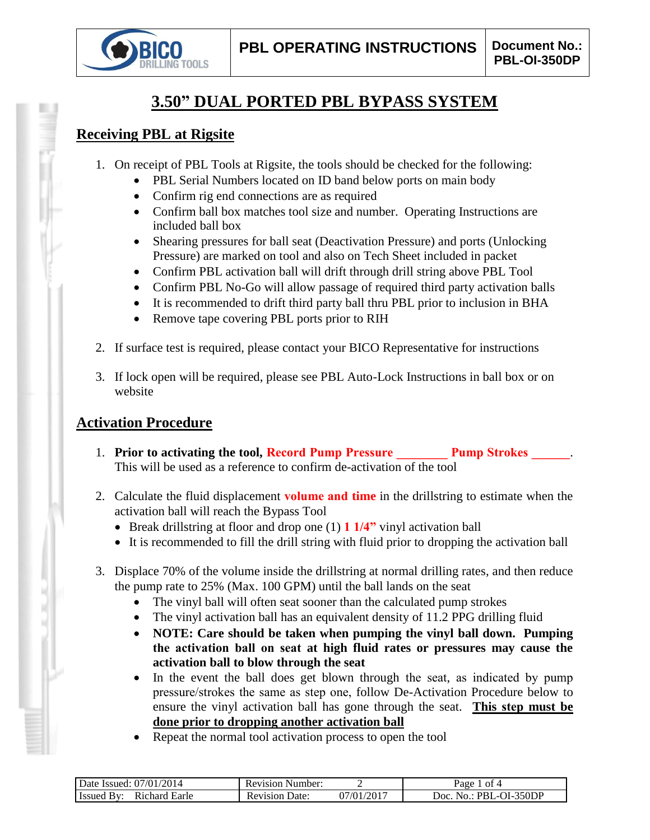

# **3.50" DUAL PORTED PBL BYPASS SYSTEM**

### **Receiving PBL at Rigsite**

- 1. On receipt of PBL Tools at Rigsite, the tools should be checked for the following:
	- PBL Serial Numbers located on ID band below ports on main body
	- Confirm rig end connections are as required
	- Confirm ball box matches tool size and number. Operating Instructions are included ball box
	- Shearing pressures for ball seat (Deactivation Pressure) and ports (Unlocking Pressure) are marked on tool and also on Tech Sheet included in packet
	- Confirm PBL activation ball will drift through drill string above PBL Tool
	- Confirm PBL No-Go will allow passage of required third party activation balls
	- It is recommended to drift third party ball thru PBL prior to inclusion in BHA
	- Remove tape covering PBL ports prior to RIH
- 2. If surface test is required, please contact your BICO Representative for instructions
- 3. If lock open will be required, please see PBL Auto-Lock Instructions in ball box or on website

### **Activation Procedure**

- 1. **Prior to activating the tool, Record Pump Pressure Pump Strokes 2014** This will be used as a reference to confirm de-activation of the tool
- 2. Calculate the fluid displacement **volume and time** in the drillstring to estimate when the activation ball will reach the Bypass Tool
	- Break drillstring at floor and drop one (1) **1 1/4"** vinyl activation ball
	- It is recommended to fill the drill string with fluid prior to dropping the activation ball
- 3. Displace 70% of the volume inside the drillstring at normal drilling rates, and then reduce the pump rate to 25% (Max. 100 GPM) until the ball lands on the seat
	- The vinyl ball will often seat sooner than the calculated pump strokes
	- The vinyl activation ball has an equivalent density of 11.2 PPG drilling fluid
	- **NOTE: Care should be taken when pumping the vinyl ball down. Pumping the activation ball on seat at high fluid rates or pressures may cause the activation ball to blow through the seat**
	- In the event the ball does get blown through the seat, as indicated by pump pressure/strokes the same as step one, follow De-Activation Procedure below to ensure the vinyl activation ball has gone through the seat. **This step must be done prior to dropping another activation ball**
	- Repeat the normal tool activation process to open the tool

| '2014<br>07/01<br>Date '<br>Issued:            | Number:<br>Revision |                                | ot 4<br>$\mathcal{Q}$ age                           |
|------------------------------------------------|---------------------|--------------------------------|-----------------------------------------------------|
| R <sub>1</sub> chard<br>RV.<br>Earle<br>Issued | Date.<br>Revision   | $1/201$ <sup>-1</sup><br>07/01 | -350DP<br>ാറ $c$<br>PRI<br>$\mathbf{v}$<br>$\cdots$ |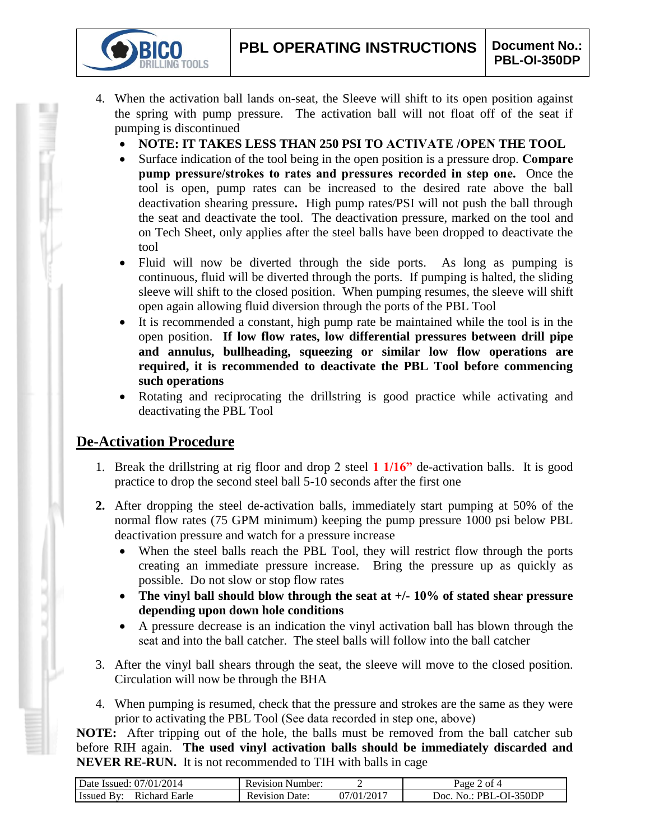- 4. When the activation ball lands on-seat, the Sleeve will shift to its open position against the spring with pump pressure. The activation ball will not float off of the seat if pumping is discontinued
	- **NOTE: IT TAKES LESS THAN 250 PSI TO ACTIVATE /OPEN THE TOOL**
	- Surface indication of the tool being in the open position is a pressure drop. **Compare pump pressure/strokes to rates and pressures recorded in step one.** Once the tool is open, pump rates can be increased to the desired rate above the ball deactivation shearing pressure**.** High pump rates/PSI will not push the ball through the seat and deactivate the tool. The deactivation pressure, marked on the tool and on Tech Sheet, only applies after the steel balls have been dropped to deactivate the tool
	- Fluid will now be diverted through the side ports. As long as pumping is continuous, fluid will be diverted through the ports. If pumping is halted, the sliding sleeve will shift to the closed position. When pumping resumes, the sleeve will shift open again allowing fluid diversion through the ports of the PBL Tool
	- It is recommended a constant, high pump rate be maintained while the tool is in the open position. **If low flow rates, low differential pressures between drill pipe and annulus, bullheading, squeezing or similar low flow operations are required, it is recommended to deactivate the PBL Tool before commencing such operations**
	- Rotating and reciprocating the drillstring is good practice while activating and deactivating the PBL Tool

## **De-Activation Procedure**

**TOOLS** 

- 1. Break the drillstring at rig floor and drop 2 steel **1 1/16"** de-activation balls. It is good practice to drop the second steel ball 5-10 seconds after the first one
- **2.** After dropping the steel de-activation balls, immediately start pumping at 50% of the normal flow rates (75 GPM minimum) keeping the pump pressure 1000 psi below PBL deactivation pressure and watch for a pressure increase
	- When the steel balls reach the PBL Tool, they will restrict flow through the ports creating an immediate pressure increase. Bring the pressure up as quickly as possible. Do not slow or stop flow rates
	- **The vinyl ball should blow through the seat at +/- 10% of stated shear pressure depending upon down hole conditions**
	- A pressure decrease is an indication the vinyl activation ball has blown through the seat and into the ball catcher. The steel balls will follow into the ball catcher
- 3. After the vinyl ball shears through the seat, the sleeve will move to the closed position. Circulation will now be through the BHA
- 4. When pumping is resumed, check that the pressure and strokes are the same as they were prior to activating the PBL Tool (See data recorded in step one, above)

**NOTE:** After tripping out of the hole, the balls must be removed from the ball catcher sub before RIH again. **The used vinyl activation balls should be immediately discarded and NEVER RE-RUN.** It is not recommended to TIH with balls in cage

| Date Issued: 07/01/2014          | <b>Revision Number:</b>  |                          | of 4<br>Page               |
|----------------------------------|--------------------------|--------------------------|----------------------------|
| Issued<br>Richard Earle<br>. Bv. | Date:<br><b>Revision</b> | $1/01/201$ <sup>-1</sup> | . No.: PBL-OI-350DP<br>10C |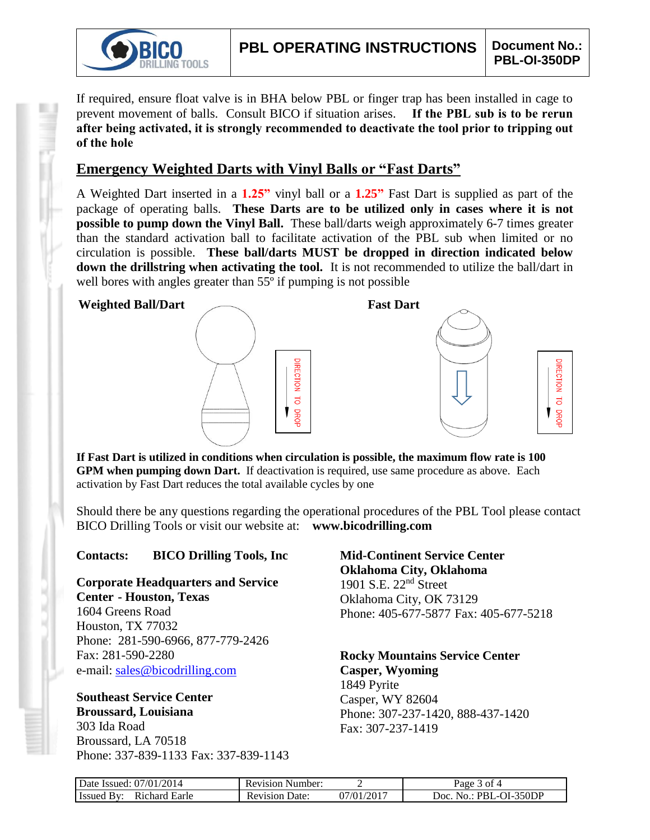

**RECTION** 

 $\overline{d}$ 

**DROF** 1

If required, ensure float valve is in BHA below PBL or finger trap has been installed in cage to prevent movement of balls. Consult BICO if situation arises. **If the PBL sub is to be rerun after being activated, it is strongly recommended to deactivate the tool prior to tripping out of the hole**

### **Emergency Weighted Darts with Vinyl Balls or "Fast Darts"**

A Weighted Dart inserted in a **1.25"** vinyl ball or a **1.25"** Fast Dart is supplied as part of the package of operating balls. **These Darts are to be utilized only in cases where it is not possible to pump down the Vinyl Ball.** These ball/darts weigh approximately 6-7 times greater than the standard activation ball to facilitate activation of the PBL sub when limited or no circulation is possible. **These ball/darts MUST be dropped in direction indicated below down the drillstring when activating the tool.** It is not recommended to utilize the ball/dart in well bores with angles greater than 55<sup>°</sup> if pumping is not possible

#### **Weighted Ball/Dart Fast Dart**



**If Fast Dart is utilized in conditions when circulation is possible, the maximum flow rate is 100 GPM when pumping down Dart.** If deactivation is required, use same procedure as above. Each activation by Fast Dart reduces the total available cycles by one

Should there be any questions regarding the operational procedures of the PBL Tool please contact BICO Drilling Tools or visit our website at: **www.bicodrilling.com**

#### **Contacts: BICO Drilling Tools, Inc**

**Corporate Headquarters and Service Center - Houston, Texas**

1604 Greens Road Houston, TX 77032 Phone: 281-590-6966, 877-779-2426 Fax: 281-590-2280 e-mail: [sales@bicodrilling.com](mailto:sales@bicodrilling.com)

### **Southeast Service Center Broussard, Louisiana**

303 Ida Road Broussard, LA 70518 Phone: 337-839-1133 Fax: 337-839-1143 **Mid-Continent Service Center Oklahoma City, Oklahoma** 1901 S.E. 22nd Street Oklahoma City, OK 73129 Phone: 405-677-5877 Fax: 405-677-5218

**Rocky Mountains Service Center Casper, Wyoming** 1849 Pyrite Casper, WY 82604 Phone: 307-237-1420, 888-437-1420

Fax: 307-237-1419

| Date Issued: 07/01/2014     | <b>Revision Number:</b> |                          | Page 3 of 4            |
|-----------------------------|-------------------------|--------------------------|------------------------|
| Richard Earle<br>Issued By: | <b>Revision Date:</b>   | $07/01/201$ <sup>-</sup> | Doc. No.: PBL-OI-350DP |